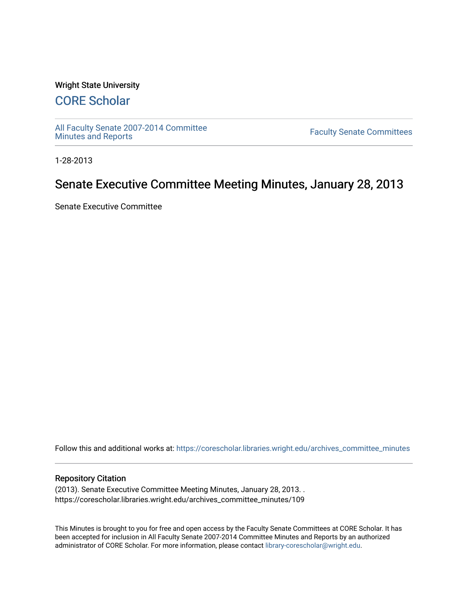#### Wright State University

# [CORE Scholar](https://corescholar.libraries.wright.edu/)

[All Faculty Senate 2007-2014 Committee](https://corescholar.libraries.wright.edu/archives_committee_minutes)

**Faculty Senate Committees** 

1-28-2013

# Senate Executive Committee Meeting Minutes, January 28, 2013

Senate Executive Committee

Follow this and additional works at: [https://corescholar.libraries.wright.edu/archives\\_committee\\_minutes](https://corescholar.libraries.wright.edu/archives_committee_minutes?utm_source=corescholar.libraries.wright.edu%2Farchives_committee_minutes%2F109&utm_medium=PDF&utm_campaign=PDFCoverPages) 

#### Repository Citation

(2013). Senate Executive Committee Meeting Minutes, January 28, 2013. . https://corescholar.libraries.wright.edu/archives\_committee\_minutes/109

This Minutes is brought to you for free and open access by the Faculty Senate Committees at CORE Scholar. It has been accepted for inclusion in All Faculty Senate 2007-2014 Committee Minutes and Reports by an authorized administrator of CORE Scholar. For more information, please contact [library-corescholar@wright.edu.](mailto:library-corescholar@wright.edu)